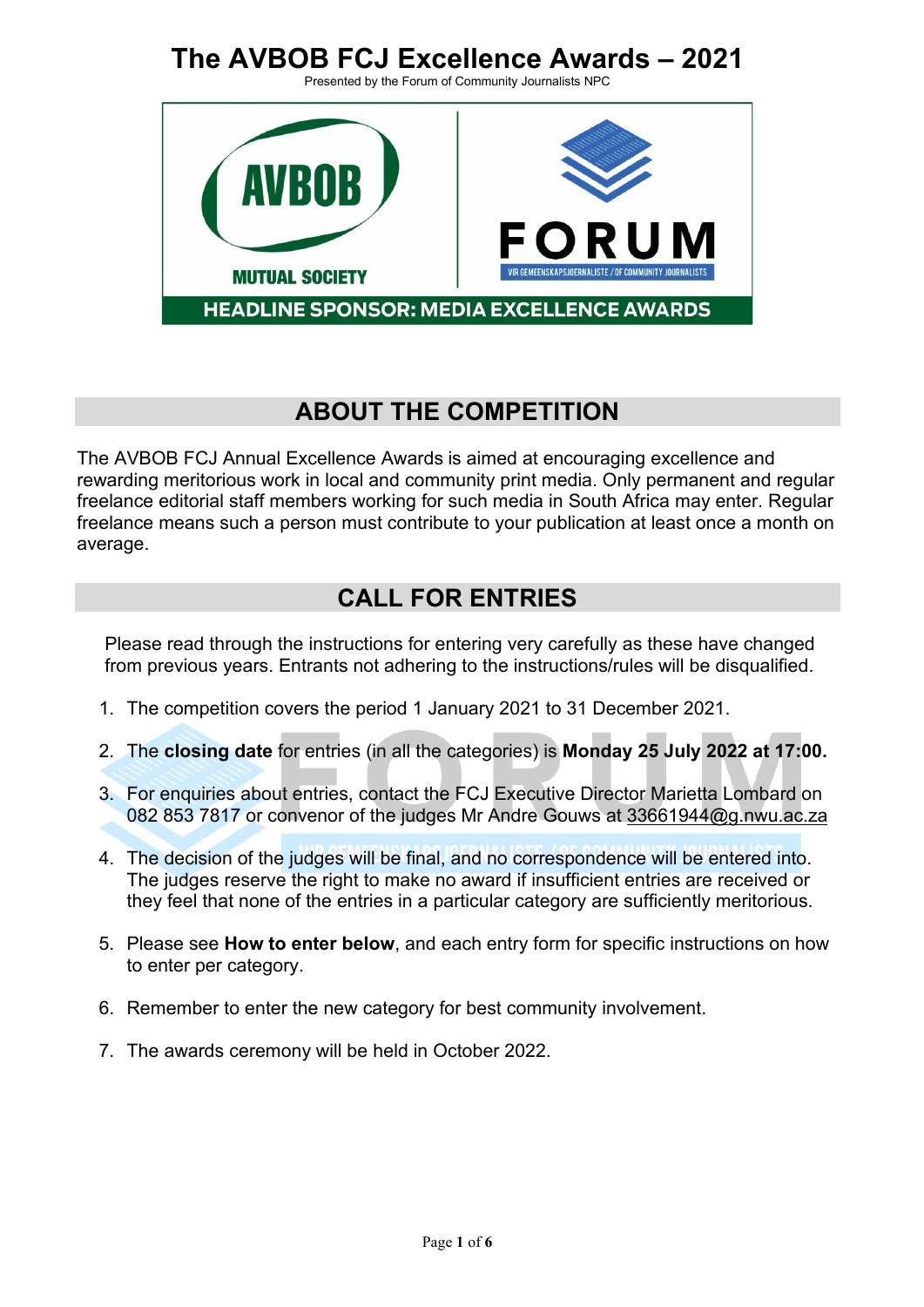Presented by the Forum of Community Journalists NPC



### **ABOUT THE COMPETITION**

The AVBOB FCJ Annual Excellence Awards is aimed at encouraging excellence and rewarding meritorious work in local and community print media. Only permanent and regular freelance editorial staff members working for such media in South Africa may enter. Regular freelance means such a person must contribute to your publication at least once a month on average.

### **CALL FOR ENTRIES**

Please read through the instructions for entering very carefully as these have changed from previous years. Entrants not adhering to the instructions/rules will be disqualified.

- 1. The competition covers the period 1 January 2021 to 31 December 2021.
- 2. The **closing date** for entries (in all the categories) is **Monday 25 July 2022 at 17:00.**
- 3. For enquiries about entries, contact the FCJ Executive Director Marietta Lombard on 082 853 7817 or convenor of the judges Mr Andre Gouws at [33661944@g.nwu.ac.za](mailto:33661944@g.nwu.ac.za)
- 4. The decision of the judges will be final, and no correspondence will be entered into. The judges reserve the right to make no award if insufficient entries are received or they feel that none of the entries in a particular category are sufficiently meritorious.
- 5. Please see **How to enter below**, and each entry form for specific instructions on how to enter per category.
- 6. Remember to enter the new category for best community involvement.
- 7. The awards ceremony will be held in October 2022.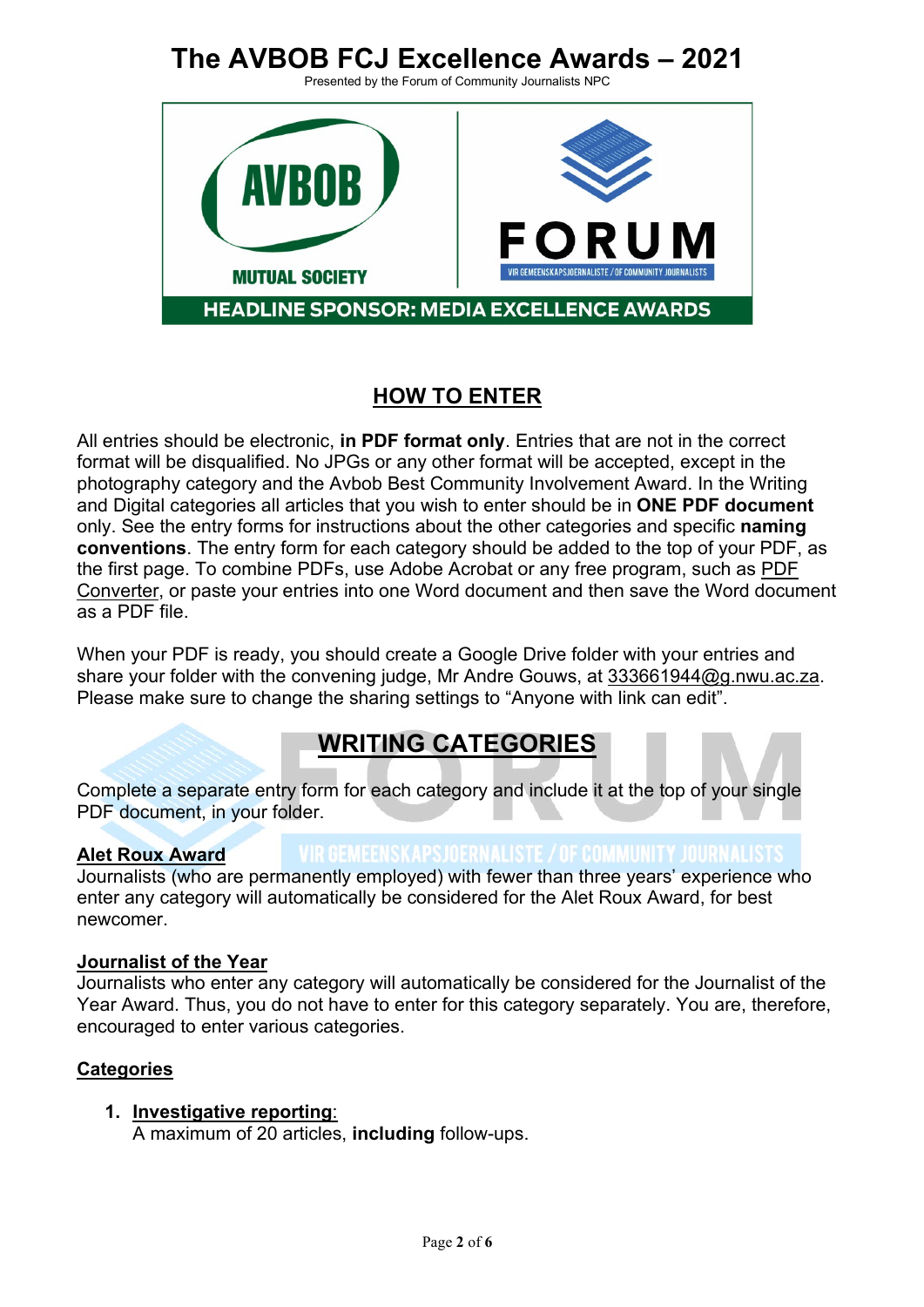Presented by the Forum of Community Journalists NPC



### **HOW TO ENTER**

All entries should be electronic, **in PDF format only**. Entries that are not in the correct format will be disqualified. No JPGs or any other format will be accepted, except in the photography category and the Avbob Best Community Involvement Award. In the Writing and Digital categories all articles that you wish to enter should be in **ONE PDF document** only. See the entry forms for instructions about the other categories and specific **naming conventions**. The entry form for each category should be added to the top of your PDF, as the first page. To combine PDFs, use Adobe Acrobat or any free program, such as [PDF](https://www.freepdfconvert.com/merge-pdf)  [Converter,](https://www.freepdfconvert.com/merge-pdf) or paste your entries into one Word document and then save the Word document as a PDF file.

When your PDF is ready, you should create a Google Drive folder with your entries and share your folder with the convening judge, Mr Andre Gouws, at [333661944@g.nwu.ac.za.](mailto:333661944@g.nwu.ac.za) Please make sure to change the sharing settings to "Anyone with link can edit".

### **WRITING CATEGORIES**

Complete a separate entry form for each category and include it at the top of your single PDF document, in your folder.

### **Alet Roux Award**

Journalists (who are permanently employed) with fewer than three years' experience who enter any category will automatically be considered for the Alet Roux Award, for best newcomer.

### **Journalist of the Year**

Journalists who enter any category will automatically be considered for the Journalist of the Year Award. Thus, you do not have to enter for this category separately. You are, therefore, encouraged to enter various categories.

### **Categories**

### **1. Investigative reporting**:

A maximum of 20 articles, **including** follow-ups.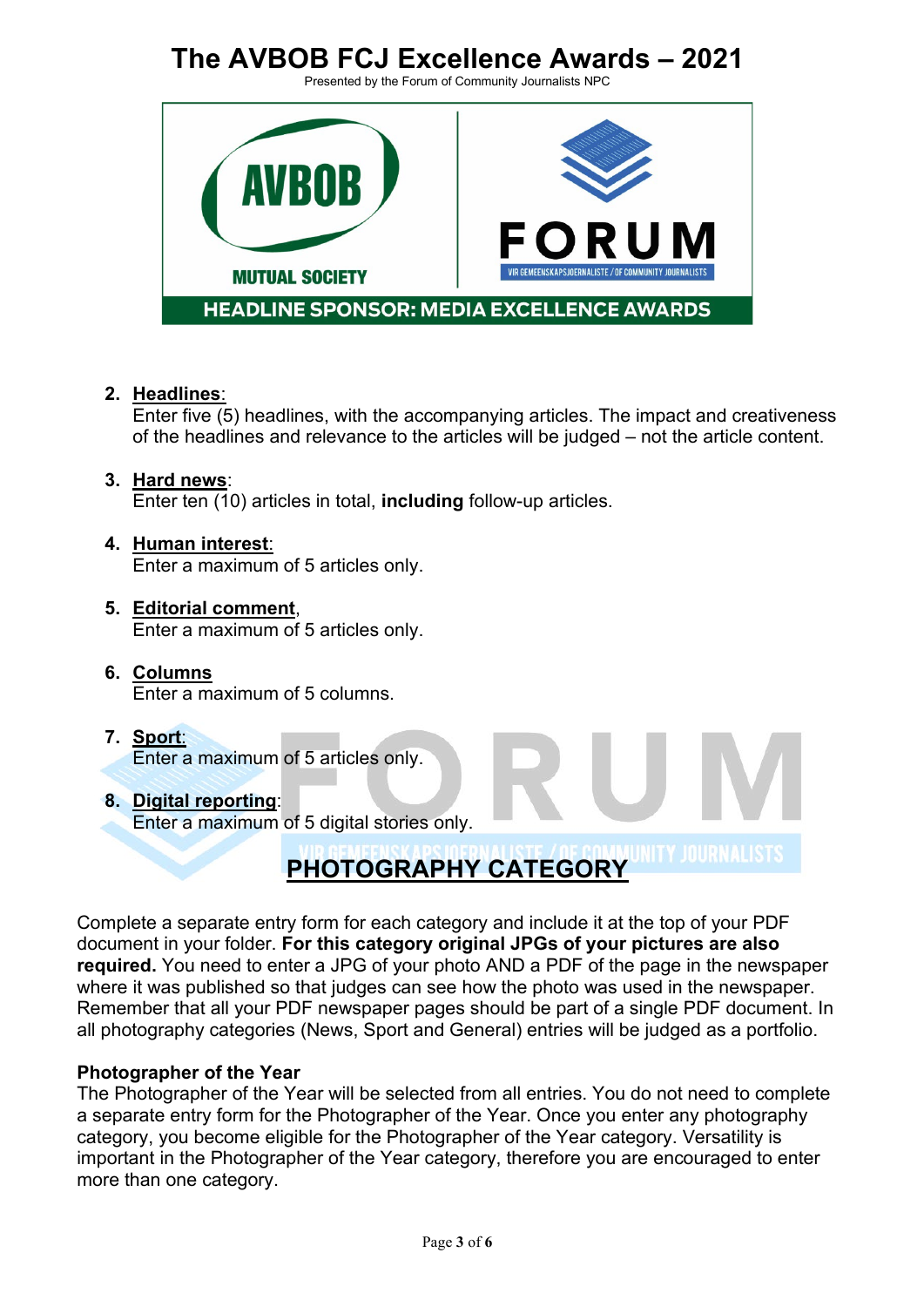Presented by the Forum of Community Journalists NPC



### **2. Headlines**:

Enter five (5) headlines, with the accompanying articles. The impact and creativeness of the headlines and relevance to the articles will be judged – not the article content.

### **3. Hard news**:

Enter ten (10) articles in total, **including** follow-up articles.

### **4. Human interest**:

Enter a maximum of 5 articles only.

### **5. Editorial comment**,

Enter a maximum of 5 articles only.

- **6. Columns** Enter a maximum of 5 columns.
- **7. Sport**: Enter a maximum of 5 articles only.

#### **8. Digital reporting**: Enter a maximum of 5 digital stories only.

# **PHOTOGRAPHY CATEGORY**

Complete a separate entry form for each category and include it at the top of your PDF document in your folder. **For this category original JPGs of your pictures are also required.** You need to enter a JPG of your photo AND a PDF of the page in the newspaper where it was published so that judges can see how the photo was used in the newspaper. Remember that all your PDF newspaper pages should be part of a single PDF document. In all photography categories (News, Sport and General) entries will be judged as a portfolio.

### **Photographer of the Year**

The Photographer of the Year will be selected from all entries. You do not need to complete a separate entry form for the Photographer of the Year. Once you enter any photography category, you become eligible for the Photographer of the Year category. Versatility is important in the Photographer of the Year category, therefore you are encouraged to enter more than one category.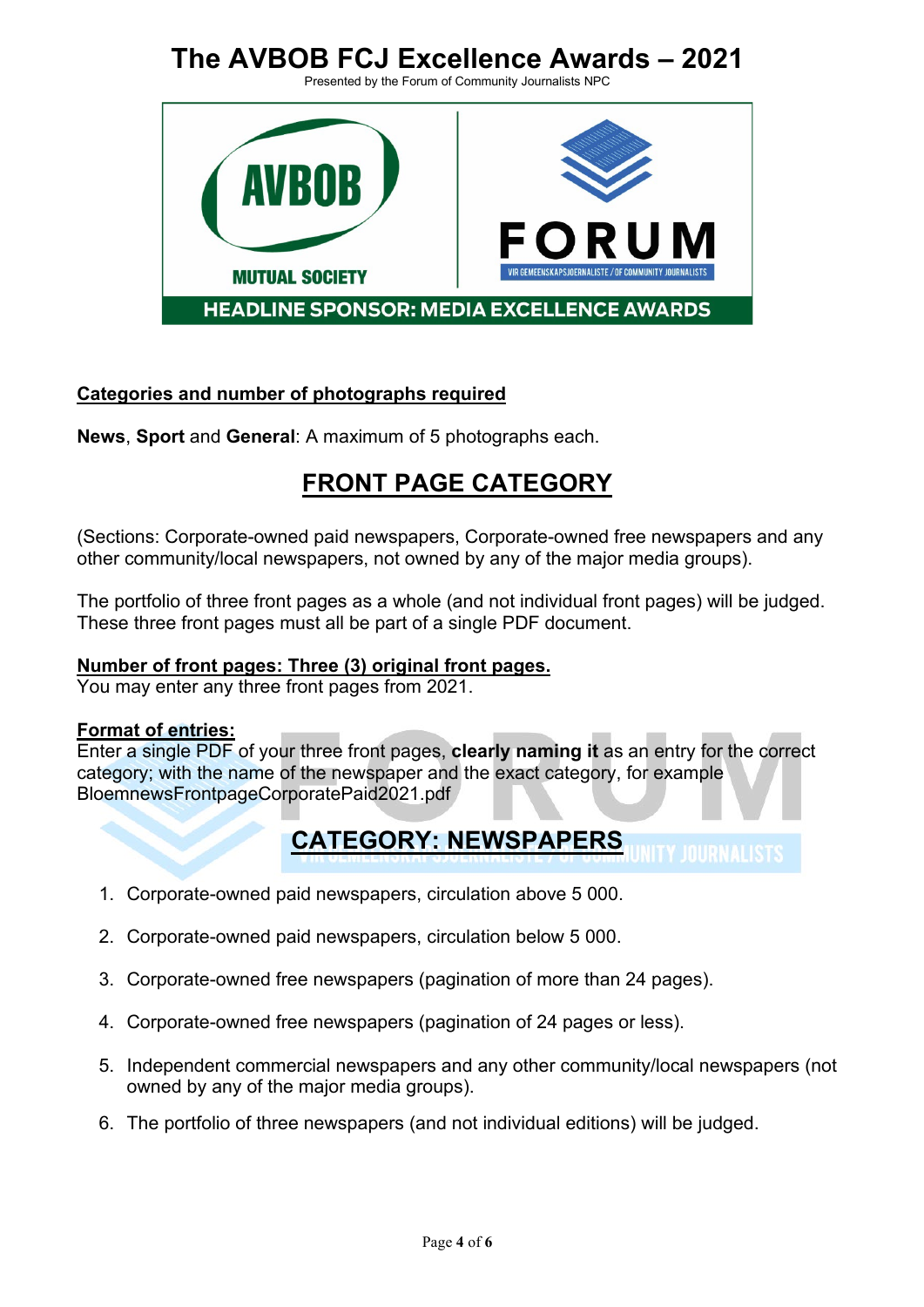Presented by the Forum of Community Journalists NPC



### **Categories and number of photographs required**

**News**, **Sport** and **General**: A maximum of 5 photographs each.

### **FRONT PAGE CATEGORY**

(Sections: Corporate-owned paid newspapers, Corporate-owned free newspapers and any other community/local newspapers, not owned by any of the major media groups).

The portfolio of three front pages as a whole (and not individual front pages) will be judged. These three front pages must all be part of a single PDF document.

### **Number of front pages: Three (3) original front pages.**

You may enter any three front pages from 2021.

### **Format of entries:**

Enter a single PDF of your three front pages, **clearly naming it** as an entry for the correct category; with the name of the newspaper and the exact category, for example BloemnewsFrontpageCorporatePaid2021.pdf

# **CATEGORY: NEWSPAPERS** UNITY JOURNALISTS

- 1. Corporate-owned paid newspapers, circulation above 5 000.
- 2. Corporate-owned paid newspapers, circulation below 5 000.
- 3. Corporate-owned free newspapers (pagination of more than 24 pages).
- 4. Corporate-owned free newspapers (pagination of 24 pages or less).
- 5. Independent commercial newspapers and any other community/local newspapers (not owned by any of the major media groups).
- 6. The portfolio of three newspapers (and not individual editions) will be judged.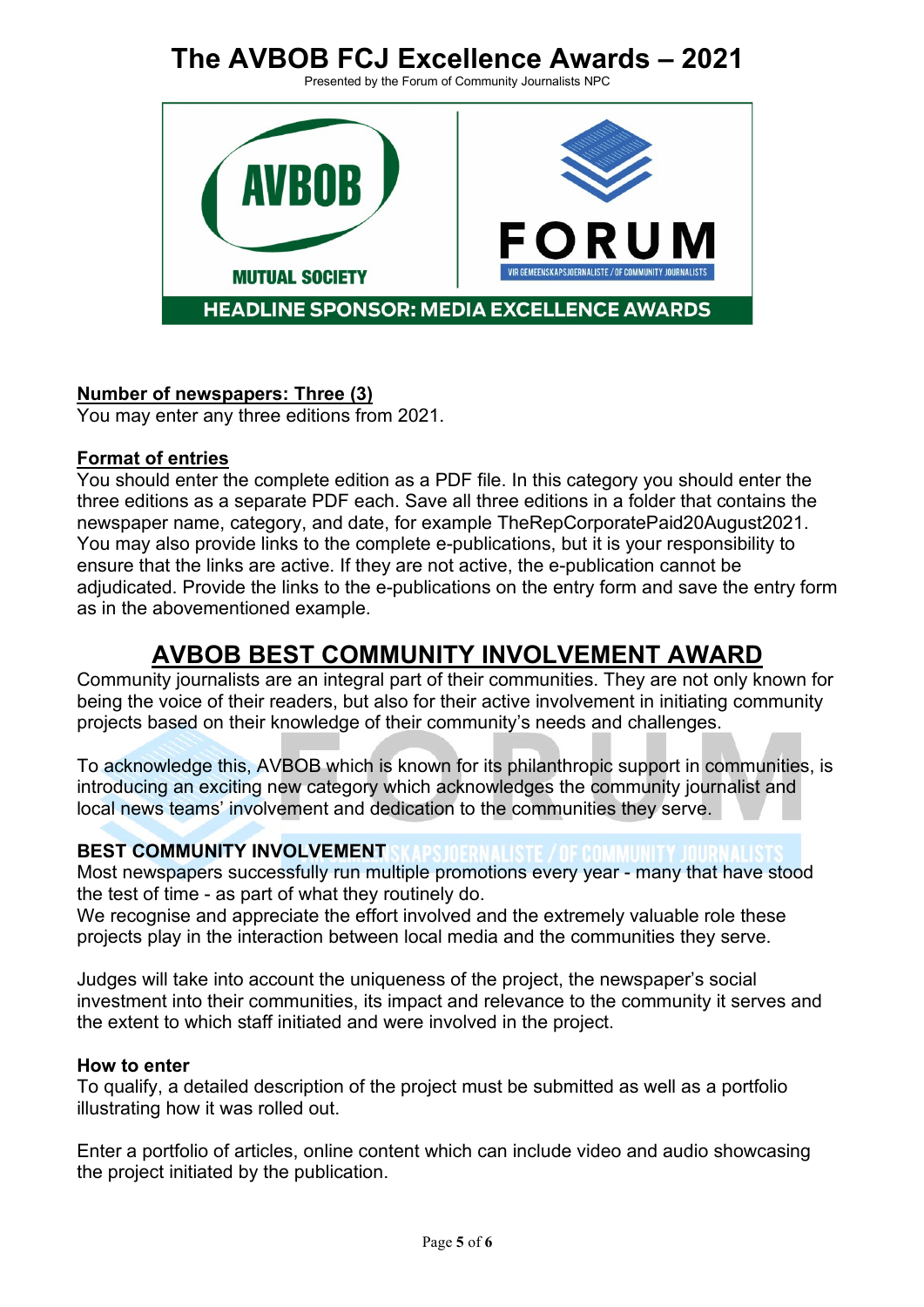Presented by the Forum of Community Journalists NPC



### **Number of newspapers: Three (3)**

You may enter any three editions from 2021.

### **Format of entries**

You should enter the complete edition as a PDF file. In this category you should enter the three editions as a separate PDF each. Save all three editions in a folder that contains the newspaper name, category, and date, for example TheRepCorporatePaid20August2021. You may also provide links to the complete e-publications, but it is your responsibility to ensure that the links are active. If they are not active, the e-publication cannot be adjudicated. Provide the links to the e-publications on the entry form and save the entry form as in the abovementioned example.

### **AVBOB BEST COMMUNITY INVOLVEMENT AWARD**

Community journalists are an integral part of their communities. They are not only known for being the voice of their readers, but also for their active involvement in initiating community projects based on their knowledge of their community's needs and challenges.

To acknowledge this, AVBOB which is known for its philanthropic support in communities, is introducing an exciting new category which acknowledges the community journalist and local news teams' involvement and dedication to the communities they serve.

### **BEST COMMUNITY INVOLVEMENT SKAPS INFRNALISTE / NE COMMUNITY INHRNALIST**

Most newspapers successfully run multiple promotions every year - many that have stood the test of time - as part of what they routinely do.

We recognise and appreciate the effort involved and the extremely valuable role these projects play in the interaction between local media and the communities they serve.

Judges will take into account the uniqueness of the project, the newspaper's social investment into their communities, its impact and relevance to the community it serves and the extent to which staff initiated and were involved in the project.

### **How to enter**

To qualify, a detailed description of the project must be submitted as well as a portfolio illustrating how it was rolled out.

Enter a portfolio of articles, online content which can include video and audio showcasing the project initiated by the publication.